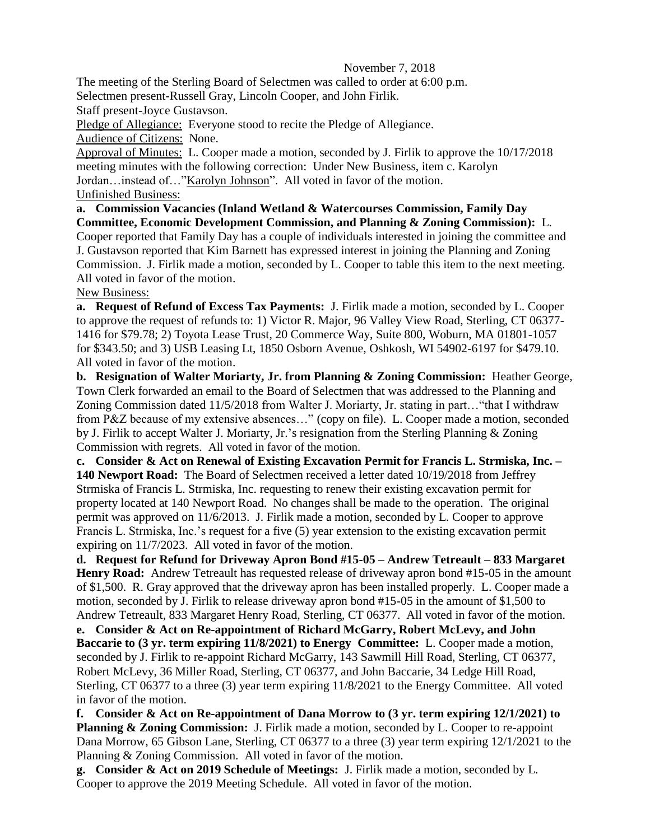## November 7, 2018

The meeting of the Sterling Board of Selectmen was called to order at 6:00 p.m. Selectmen present-Russell Gray, Lincoln Cooper, and John Firlik.

Staff present-Joyce Gustavson.

Pledge of Allegiance: Everyone stood to recite the Pledge of Allegiance. Audience of Citizens: None.

Approval of Minutes: L. Cooper made a motion, seconded by J. Firlik to approve the 10/17/2018 meeting minutes with the following correction: Under New Business, item c. Karolyn Jordan... instead of..."Karolyn Johnson". All voted in favor of the motion. Unfinished Business:

**a. Commission Vacancies (Inland Wetland & Watercourses Commission, Family Day Committee, Economic Development Commission, and Planning & Zoning Commission):** L. Cooper reported that Family Day has a couple of individuals interested in joining the committee and J. Gustavson reported that Kim Barnett has expressed interest in joining the Planning and Zoning Commission. J. Firlik made a motion, seconded by L. Cooper to table this item to the next meeting. All voted in favor of the motion.

New Business:

**a. Request of Refund of Excess Tax Payments:** J. Firlik made a motion, seconded by L. Cooper to approve the request of refunds to: 1) Victor R. Major, 96 Valley View Road, Sterling, CT 06377- 1416 for \$79.78; 2) Toyota Lease Trust, 20 Commerce Way, Suite 800, Woburn, MA 01801-1057 for \$343.50; and 3) USB Leasing Lt, 1850 Osborn Avenue, Oshkosh, WI 54902-6197 for \$479.10. All voted in favor of the motion.

**b. Resignation of Walter Moriarty, Jr. from Planning & Zoning Commission:** Heather George, Town Clerk forwarded an email to the Board of Selectmen that was addressed to the Planning and Zoning Commission dated 11/5/2018 from Walter J. Moriarty, Jr. stating in part…"that I withdraw from P&Z because of my extensive absences…" (copy on file). L. Cooper made a motion, seconded by J. Firlik to accept Walter J. Moriarty, Jr.'s resignation from the Sterling Planning & Zoning Commission with regrets. All voted in favor of the motion.

**c. Consider & Act on Renewal of Existing Excavation Permit for Francis L. Strmiska, Inc. – 140 Newport Road:** The Board of Selectmen received a letter dated 10/19/2018 from Jeffrey Strmiska of Francis L. Strmiska, Inc. requesting to renew their existing excavation permit for property located at 140 Newport Road. No changes shall be made to the operation. The original permit was approved on 11/6/2013. J. Firlik made a motion, seconded by L. Cooper to approve Francis L. Strmiska, Inc.'s request for a five (5) year extension to the existing excavation permit expiring on 11/7/2023. All voted in favor of the motion.

**d. Request for Refund for Driveway Apron Bond #15-05 – Andrew Tetreault – 833 Margaret Henry Road:** Andrew Tetreault has requested release of driveway apron bond #15-05 in the amount of \$1,500. R. Gray approved that the driveway apron has been installed properly. L. Cooper made a motion, seconded by J. Firlik to release driveway apron bond #15-05 in the amount of \$1,500 to Andrew Tetreault, 833 Margaret Henry Road, Sterling, CT 06377. All voted in favor of the motion.

**e. Consider & Act on Re-appointment of Richard McGarry, Robert McLevy, and John Baccarie to (3 yr. term expiring 11/8/2021) to Energy Committee:** L. Cooper made a motion, seconded by J. Firlik to re-appoint Richard McGarry, 143 Sawmill Hill Road, Sterling, CT 06377, Robert McLevy, 36 Miller Road, Sterling, CT 06377, and John Baccarie, 34 Ledge Hill Road, Sterling, CT 06377 to a three (3) year term expiring 11/8/2021 to the Energy Committee. All voted in favor of the motion.

**f. Consider & Act on Re-appointment of Dana Morrow to (3 yr. term expiring 12/1/2021) to Planning & Zoning Commission:** J. Firlik made a motion, seconded by L. Cooper to re-appoint Dana Morrow, 65 Gibson Lane, Sterling, CT 06377 to a three (3) year term expiring 12/1/2021 to the Planning & Zoning Commission. All voted in favor of the motion.

**g. Consider & Act on 2019 Schedule of Meetings:** J. Firlik made a motion, seconded by L. Cooper to approve the 2019 Meeting Schedule. All voted in favor of the motion.